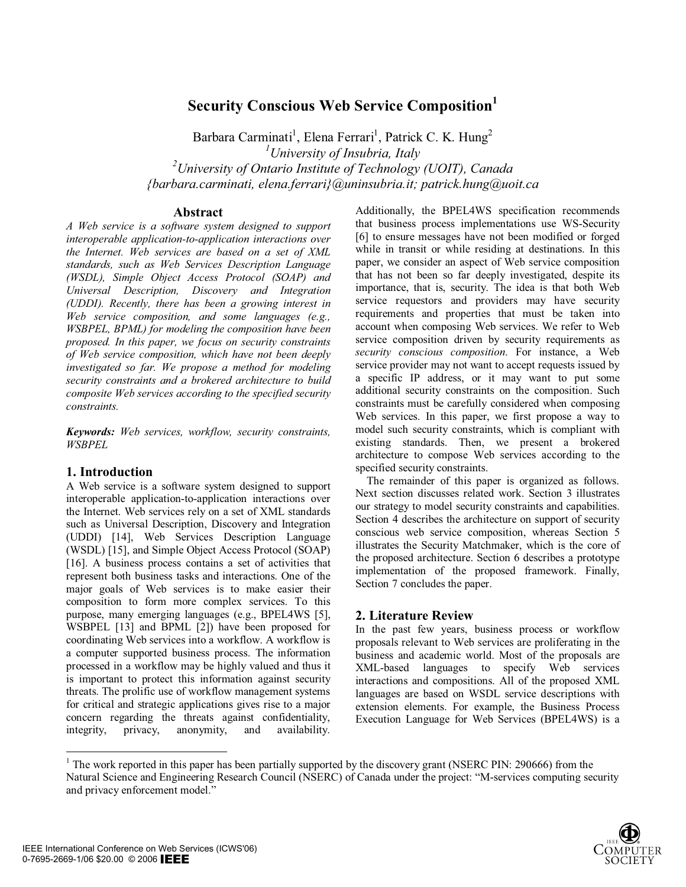# **Security Conscious Web Service Composition1**

Barbara Carminati<sup>1</sup>, Elena Ferrari<sup>1</sup>, Patrick C. K. Hung<sup>2</sup> *1 University of Insubria, Italy 2 University of Ontario Institute of Technology (UOIT), Canada {barbara.carminati, elena.ferrari}@uninsubria.it; patrick.hung@uoit.ca*

### **Abstract**

*A Web service is a software system designed to support interoperable application-to-application interactions over the Internet. Web services are based on a set of XML standards, such as Web Services Description Language (WSDL), Simple Object Access Protocol (SOAP) and Universal Description, Discovery and Integration (UDDI). Recently, there has been a growing interest in Web service composition, and some languages (e.g., WSBPEL, BPML) for modeling the composition have been proposed. In this paper, we focus on security constraints of Web service composition, which have not been deeply investigated so far. We propose a method for modeling security constraints and a brokered architecture to build composite Web services according to the specified security constraints.* 

*Keywords: Web services, workflow, security constraints, WSBPEL* 

### **1. Introduction**

A Web service is a software system designed to support interoperable application-to-application interactions over the Internet. Web services rely on a set of XML standards such as Universal Description, Discovery and Integration (UDDI) [14], Web Services Description Language (WSDL) [15], and Simple Object Access Protocol (SOAP) [16]. A business process contains a set of activities that represent both business tasks and interactions. One of the major goals of Web services is to make easier their composition to form more complex services. To this purpose, many emerging languages (e.g., BPEL4WS [5], WSBPEL [13] and BPML [2]) have been proposed for coordinating Web services into a workflow. A workflow is a computer supported business process. The information processed in a workflow may be highly valued and thus it is important to protect this information against security threats. The prolific use of workflow management systems for critical and strategic applications gives rise to a major concern regarding the threats against confidentiality, integrity, privacy, anonymity, and availability.

Additionally, the BPEL4WS specification recommends that business process implementations use WS-Security [6] to ensure messages have not been modified or forged while in transit or while residing at destinations. In this paper, we consider an aspect of Web service composition that has not been so far deeply investigated, despite its importance, that is, security. The idea is that both Web service requestors and providers may have security requirements and properties that must be taken into account when composing Web services. We refer to Web service composition driven by security requirements as *security conscious composition*. For instance, a Web service provider may not want to accept requests issued by a specific IP address, or it may want to put some additional security constraints on the composition. Such constraints must be carefully considered when composing Web services. In this paper, we first propose a way to model such security constraints, which is compliant with existing standards. Then, we present a brokered architecture to compose Web services according to the specified security constraints.

 The remainder of this paper is organized as follows. Next section discusses related work. Section 3 illustrates our strategy to model security constraints and capabilities. Section 4 describes the architecture on support of security conscious web service composition, whereas Section 5 illustrates the Security Matchmaker, which is the core of the proposed architecture. Section 6 describes a prototype implementation of the proposed framework. Finally, Section 7 concludes the paper.

### **2. Literature Review**

In the past few years, business process or workflow proposals relevant to Web services are proliferating in the business and academic world. Most of the proposals are XML-based languages to specify Web services interactions and compositions. All of the proposed XML languages are based on WSDL service descriptions with extension elements. For example, the Business Process Execution Language for Web Services (BPEL4WS) is a

The work reported in this paper has been partially supported by the discovery grant (NSERC PIN: 290666) from the Natural Science and Engineering Research Council (NSERC) of Canada under the project: "M-services computing security and privacy enforcement model."

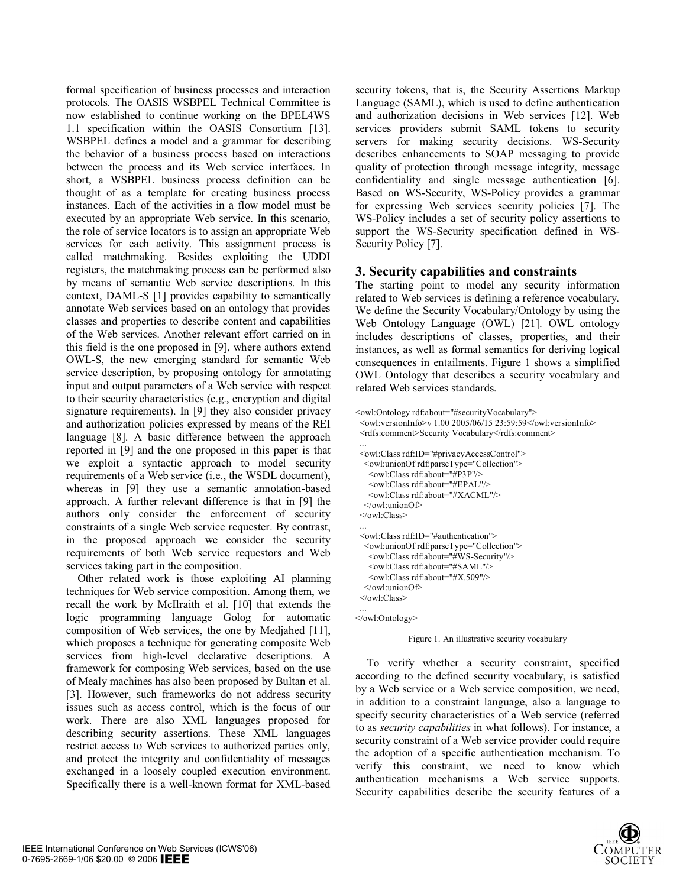formal specification of business processes and interaction protocols. The OASIS WSBPEL Technical Committee is now established to continue working on the BPEL4WS 1.1 specification within the OASIS Consortium [13]. WSBPEL defines a model and a grammar for describing the behavior of a business process based on interactions between the process and its Web service interfaces. In short, a WSBPEL business process definition can be thought of as a template for creating business process instances. Each of the activities in a flow model must be executed by an appropriate Web service. In this scenario, the role of service locators is to assign an appropriate Web services for each activity. This assignment process is called matchmaking. Besides exploiting the UDDI registers, the matchmaking process can be performed also by means of semantic Web service descriptions. In this context, DAML-S [1] provides capability to semantically annotate Web services based on an ontology that provides classes and properties to describe content and capabilities of the Web services. Another relevant effort carried on in this field is the one proposed in [9], where authors extend OWL-S, the new emerging standard for semantic Web service description, by proposing ontology for annotating input and output parameters of a Web service with respect to their security characteristics (e.g., encryption and digital signature requirements). In [9] they also consider privacy and authorization policies expressed by means of the REI language [8]. A basic difference between the approach reported in [9] and the one proposed in this paper is that we exploit a syntactic approach to model security requirements of a Web service (i.e., the WSDL document), whereas in [9] they use a semantic annotation-based approach. A further relevant difference is that in [9] the authors only consider the enforcement of security constraints of a single Web service requester. By contrast, in the proposed approach we consider the security requirements of both Web service requestors and Web services taking part in the composition.

 Other related work is those exploiting AI planning techniques for Web service composition. Among them, we recall the work by McIlraith et al. [10] that extends the logic programming language Golog for automatic composition of Web services, the one by Medjahed [11], which proposes a technique for generating composite Web services from high-level declarative descriptions. A framework for composing Web services, based on the use of Mealy machines has also been proposed by Bultan et al. [3]. However, such frameworks do not address security issues such as access control, which is the focus of our work. There are also XML languages proposed for describing security assertions. These XML languages restrict access to Web services to authorized parties only, and protect the integrity and confidentiality of messages exchanged in a loosely coupled execution environment. Specifically there is a well-known format for XML-based

security tokens, that is, the Security Assertions Markup Language (SAML), which is used to define authentication and authorization decisions in Web services [12]. Web services providers submit SAML tokens to security servers for making security decisions. WS-Security describes enhancements to SOAP messaging to provide quality of protection through message integrity, message confidentiality and single message authentication [6]. Based on WS-Security, WS-Policy provides a grammar for expressing Web services security policies [7]. The WS-Policy includes a set of security policy assertions to support the WS-Security specification defined in WS-Security Policy [7].

### **3. Security capabilities and constraints**

The starting point to model any security information related to Web services is defining a reference vocabulary. We define the Security Vocabulary/Ontology by using the Web Ontology Language (OWL) [21]. OWL ontology includes descriptions of classes, properties, and their instances, as well as formal semantics for deriving logical consequences in entailments. Figure 1 shows a simplified OWL Ontology that describes a security vocabulary and related Web services standards.

```
<owl:Ontology rdf:about="#securityVocabulary"> 
  <owl:versionInfo>v 1.00 2005/06/15 23:59:59</owl:versionInfo> 
 <rdfs:comment>Security Vocabulary</rdfs:comment>
 ... 
  <owl:Class rdf:ID="#privacyAccessControl"> 
   <owl:unionOf rdf:parseType="Collection"> 
    <owl:Class rdf:about="#P3P"/> 
    <owl:Class rdf:about="#EPAL"/> 
    <owl:Class rdf:about="#XACML"/> 
   </owl:unionOf> 
  </owl:Class> 
 ... 
  <owl:Class rdf:ID="#authentication"> 
   <owl:unionOf rdf:parseType="Collection"> 
    <owl:Class rdf:about="#WS-Security"/> 
    <owl:Class rdf:about="#SAML"/> 
    <owl:Class rdf:about="#X.509"/> 
   </owl:unionOf> 
  </owl:Class> 
 ...
```
</owl:Ontology>

Figure 1. An illustrative security vocabulary

 To verify whether a security constraint, specified according to the defined security vocabulary, is satisfied by a Web service or a Web service composition, we need, in addition to a constraint language, also a language to specify security characteristics of a Web service (referred to as *security capabilities* in what follows). For instance, a security constraint of a Web service provider could require the adoption of a specific authentication mechanism. To verify this constraint, we need to know which authentication mechanisms a Web service supports. Security capabilities describe the security features of a

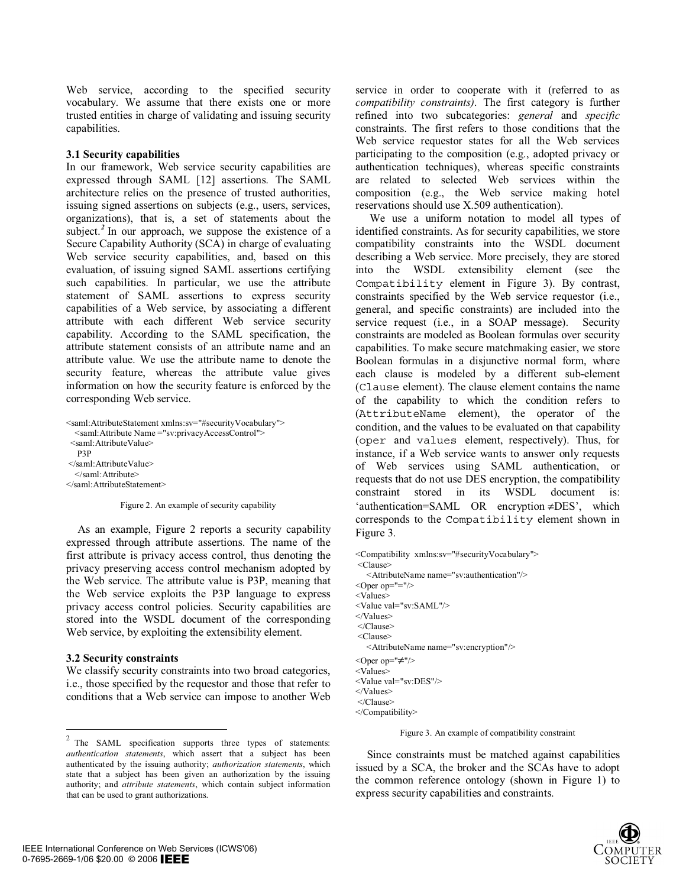Web service, according to the specified security vocabulary. We assume that there exists one or more trusted entities in charge of validating and issuing security capabilities.

### **3.1 Security capabilities**

In our framework, Web service security capabilities are expressed through SAML [12] assertions. The SAML architecture relies on the presence of trusted authorities, issuing signed assertions on subjects (e.g., users, services, organizations), that is, a set of statements about the subject.<sup>2</sup> In our approach, we suppose the existence of a Secure Capability Authority (SCA) in charge of evaluating Web service security capabilities, and, based on this evaluation, of issuing signed SAML assertions certifying such capabilities. In particular, we use the attribute statement of SAML assertions to express security capabilities of a Web service, by associating a different attribute with each different Web service security capability. According to the SAML specification, the attribute statement consists of an attribute name and an attribute value. We use the attribute name to denote the security feature, whereas the attribute value gives information on how the security feature is enforced by the corresponding Web service.

<saml:AttributeStatement xmlns:sv="#securityVocabulary"> <saml:Attribute Name ="sv:privacyAccessControl"> <saml:AttributeValue> P3P </saml:AttributeValue> </saml:Attribute> </saml:AttributeStatement>

Figure 2. An example of security capability

 As an example, Figure 2 reports a security capability expressed through attribute assertions. The name of the first attribute is privacy access control, thus denoting the privacy preserving access control mechanism adopted by the Web service. The attribute value is P3P, meaning that the Web service exploits the P3P language to express privacy access control policies. Security capabilities are stored into the WSDL document of the corresponding Web service, by exploiting the extensibility element.

### **3.2 Security constraints**

 $\overline{a}$ 

We classify security constraints into two broad categories, i.e., those specified by the requestor and those that refer to conditions that a Web service can impose to another Web service in order to cooperate with it (referred to as *compatibility constraints)*. The first category is further refined into two subcategories: *general* and *specific* constraints. The first refers to those conditions that the Web service requestor states for all the Web services participating to the composition (e.g., adopted privacy or authentication techniques), whereas specific constraints are related to selected Web services within the composition (e.g., the Web service making hotel reservations should use X.509 authentication).

 We use a uniform notation to model all types of identified constraints. As for security capabilities, we store compatibility constraints into the WSDL document describing a Web service. More precisely, they are stored into the WSDL extensibility element (see the Compatibility element in Figure 3). By contrast, constraints specified by the Web service requestor (i.e., general, and specific constraints) are included into the service request (i.e., in a SOAP message). Security constraints are modeled as Boolean formulas over security capabilities. To make secure matchmaking easier, we store Boolean formulas in a disjunctive normal form, where each clause is modeled by a different sub-element (Clause element). The clause element contains the name of the capability to which the condition refers to (AttributeName element), the operator of the condition, and the values to be evaluated on that capability (oper and values element, respectively). Thus, for instance, if a Web service wants to answer only requests of Web services using SAML authentication, or requests that do not use DES encryption, the compatibility constraint stored in its WSDL document is: 'authentication=SAML OR encryption ≠DES', which corresponds to the Compatibility element shown in Figure 3.

```
<Compatibility xmlns:sv="#securityVocabulary"> 
 <Clause> 
   <AttributeName name="sv:authentication"/> 
<Oper op="="/>
<Values> 
<Value val="sv:SAML"/> 
</Values> 
 </Clause> 
 <Clause> 
   <AttributeName name="sv:encryption"/> 
<Oper op="≠"/> 
<Values> 
<Value val="sv:DES"/> 
</Values> 
 </Clause> 
</Compatibility>
```
Figure 3. An example of compatibility constraint

 Since constraints must be matched against capabilities issued by a SCA, the broker and the SCAs have to adopt the common reference ontology (shown in Figure 1) to express security capabilities and constraints.



 $2$  The SAML specification supports three types of statements: *authentication statements*, which assert that a subject has been authenticated by the issuing authority; *authorization statements*, which state that a subject has been given an authorization by the issuing authority; and *attribute statements*, which contain subject information that can be used to grant authorizations.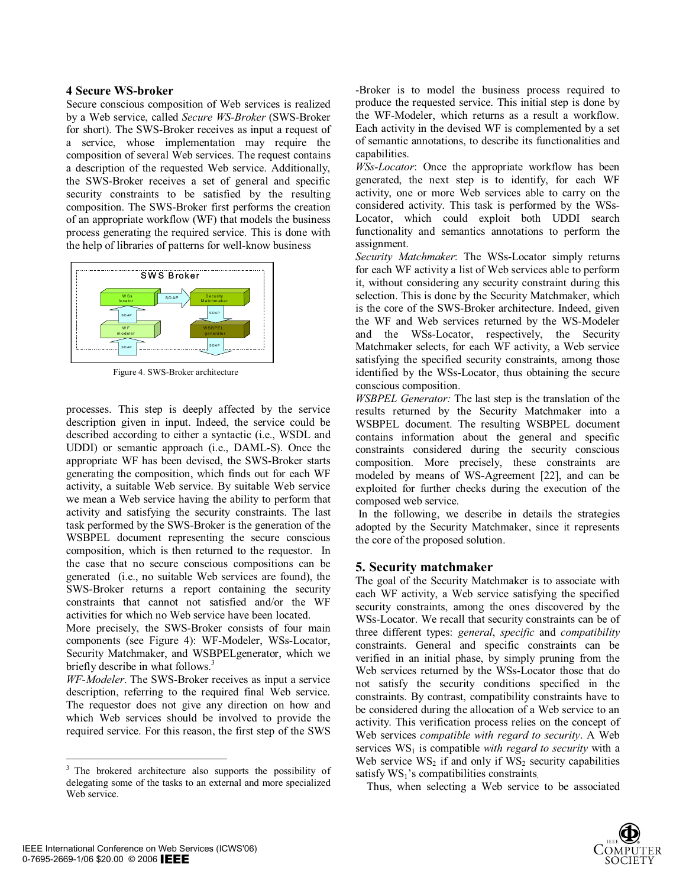### **4 Secure WS-broker**

Secure conscious composition of Web services is realized by a Web service, called *Secure WS-Broker* (SWS-Broker for short). The SWS-Broker receives as input a request of a service, whose implementation may require the composition of several Web services. The request contains a description of the requested Web service. Additionally, the SWS-Broker receives a set of general and specific security constraints to be satisfied by the resulting composition. The SWS-Broker first performs the creation of an appropriate workflow (WF) that models the business process generating the required service. This is done with the help of libraries of patterns for well-know business



Figure 4. SWS-Broker architecture

processes. This step is deeply affected by the service description given in input. Indeed, the service could be described according to either a syntactic (i.e., WSDL and UDDI) or semantic approach (i.e., DAML-S). Once the appropriate WF has been devised, the SWS-Broker starts generating the composition, which finds out for each WF activity, a suitable Web service. By suitable Web service we mean a Web service having the ability to perform that activity and satisfying the security constraints. The last task performed by the SWS-Broker is the generation of the WSBPEL document representing the secure conscious composition, which is then returned to the requestor. In the case that no secure conscious compositions can be generated (i.e., no suitable Web services are found), the SWS-Broker returns a report containing the security constraints that cannot not satisfied and/or the WF activities for which no Web service have been located.

More precisely, the SWS-Broker consists of four main components (see Figure 4): WF-Modeler, WSs-Locator, Security Matchmaker, and WSBPELgenerator, which we briefly describe in what follows.<sup>3</sup>

*WF-Modeler*. The SWS-Broker receives as input a service description, referring to the required final Web service. The requestor does not give any direction on how and which Web services should be involved to provide the required service. For this reason, the first step of the SWS

-Broker is to model the business process required to produce the requested service. This initial step is done by the WF-Modeler, which returns as a result a workflow. Each activity in the devised WF is complemented by a set of semantic annotations, to describe its functionalities and capabilities.

*WSs-Locator*: Once the appropriate workflow has been generated, the next step is to identify, for each WF activity, one or more Web services able to carry on the considered activity. This task is performed by the WSs-Locator, which could exploit both UDDI search functionality and semantics annotations to perform the assignment.

*Security Matchmaker*: The WSs-Locator simply returns for each WF activity a list of Web services able to perform it, without considering any security constraint during this selection. This is done by the Security Matchmaker, which is the core of the SWS-Broker architecture. Indeed, given the WF and Web services returned by the WS-Modeler and the WSs-Locator, respectively, the Security Matchmaker selects, for each WF activity, a Web service satisfying the specified security constraints, among those identified by the WSs-Locator, thus obtaining the secure conscious composition.

*WSBPEL Generator:* The last step is the translation of the results returned by the Security Matchmaker into a WSBPEL document. The resulting WSBPEL document contains information about the general and specific constraints considered during the security conscious composition. More precisely, these constraints are modeled by means of WS-Agreement [22], and can be exploited for further checks during the execution of the composed web service.

 In the following, we describe in details the strategies adopted by the Security Matchmaker, since it represents the core of the proposed solution.

### **5. Security matchmaker**

The goal of the Security Matchmaker is to associate with each WF activity, a Web service satisfying the specified security constraints, among the ones discovered by the WSs-Locator. We recall that security constraints can be of three different types: *general*, *specific* and *compatibility* constraints. General and specific constraints can be verified in an initial phase, by simply pruning from the Web services returned by the WSs-Locator those that do not satisfy the security conditions specified in the constraints. By contrast, compatibility constraints have to be considered during the allocation of a Web service to an activity. This verification process relies on the concept of Web services *compatible with regard to security*. A Web services WS<sub>1</sub> is compatible *with regard to security* with a Web service  $WS_2$  if and only if  $WS_2$  security capabilities satisfy WS<sub>1</sub>'s compatibilities constraints.

Thus, when selecting a Web service to be associated



 $\overline{a}$ 

<sup>&</sup>lt;sup>3</sup> The brokered architecture also supports the possibility of delegating some of the tasks to an external and more specialized Web service.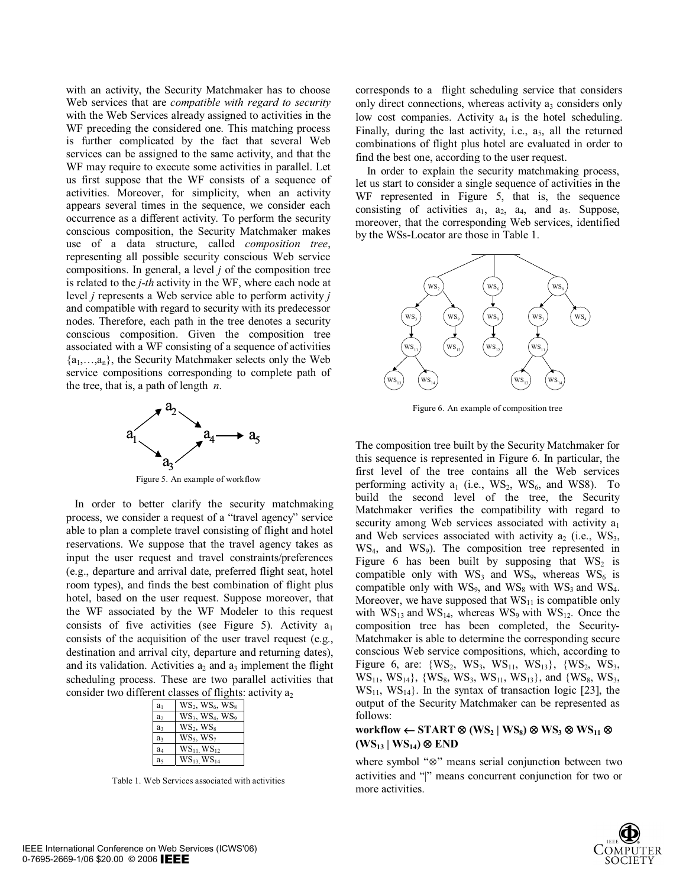with an activity, the Security Matchmaker has to choose Web services that are *compatible with regard to security* with the Web Services already assigned to activities in the WF preceding the considered one. This matching process is further complicated by the fact that several Web services can be assigned to the same activity, and that the WF may require to execute some activities in parallel. Let us first suppose that the WF consists of a sequence of activities. Moreover, for simplicity, when an activity appears several times in the sequence, we consider each occurrence as a different activity. To perform the security conscious composition, the Security Matchmaker makes use of a data structure, called *composition tree*, representing all possible security conscious Web service compositions. In general, a level *j* of the composition tree is related to the *j-th* activity in the WF, where each node at level *j* represents a Web service able to perform activity *j* and compatible with regard to security with its predecessor nodes. Therefore, each path in the tree denotes a security conscious composition. Given the composition tree associated with a WF consisting of a sequence of activities  $\{a_1,...,a_n\}$ , the Security Matchmaker selects only the Web service compositions corresponding to complete path of the tree, that is, a path of length *n*.



Figure 5. An example of workflow

 In order to better clarify the security matchmaking process, we consider a request of a "travel agency" service able to plan a complete travel consisting of flight and hotel reservations. We suppose that the travel agency takes as input the user request and travel constraints/preferences (e.g., departure and arrival date, preferred flight seat, hotel room types), and finds the best combination of flight plus hotel, based on the user request. Suppose moreover, that the WF associated by the WF Modeler to this request consists of five activities (see Figure 5). Activity  $a_1$ consists of the acquisition of the user travel request (e.g., destination and arrival city, departure and returning dates), and its validation. Activities  $a_2$  and  $a_3$  implement the flight scheduling process. These are two parallel activities that consider two different classes of flights: activity  $a<sub>2</sub>$ 

| . |                |                          |
|---|----------------|--------------------------|
|   | $a_1$          | $WS_2$ , $WS_6$ , $WS_8$ |
|   | a <sub>2</sub> | $WS_3$ , $WS_4$ , $WS_9$ |
|   | a <sub>3</sub> | $WS_2, WS_8$             |
|   | a <sub>3</sub> | $WS_5, WS_7$             |
|   | $a_4$          | $WS_{11}$ , $WS_{12}$    |
|   | a <sub>5</sub> | $WS_{13}$ , $WS_{14}$    |

Table 1. Web Services associated with activities

corresponds to a flight scheduling service that considers only direct connections, whereas activity  $a_3$  considers only low cost companies. Activity  $a_4$  is the hotel scheduling. Finally, during the last activity, i.e.,  $a_5$ , all the returned combinations of flight plus hotel are evaluated in order to find the best one, according to the user request.

 In order to explain the security matchmaking process, let us start to consider a single sequence of activities in the WF represented in Figure 5, that is, the sequence consisting of activities  $a_1$ ,  $a_2$ ,  $a_4$ , and  $a_5$ . Suppose, moreover, that the corresponding Web services, identified by the WSs-Locator are those in Table 1.



The composition tree built by the Security Matchmaker for this sequence is represented in Figure 6. In particular, the first level of the tree contains all the Web services performing activity  $a_1$  (i.e.,  $WS_2$ ,  $WS_6$ , and WS8). To build the second level of the tree, the Security Matchmaker verifies the compatibility with regard to security among Web services associated with activity  $a_1$ and Web services associated with activity  $a_2$  (i.e., WS<sub>3</sub>,  $WS<sub>4</sub>$ , and  $WS<sub>9</sub>$ ). The composition tree represented in Figure 6 has been built by supposing that  $WS_2$  is compatible only with  $WS_3$  and  $WS_9$ , whereas  $WS_6$  is compatible only with  $WS_9$ , and  $WS_8$  with  $WS_3$  and  $WS_4$ . Moreover, we have supposed that  $WS_{11}$  is compatible only with  $WS_{13}$  and  $WS_{14}$ , whereas  $WS_9$  with  $WS_{12}$ . Once the composition tree has been completed, the Security-Matchmaker is able to determine the corresponding secure conscious Web service compositions, which, according to Figure 6, are:  $\{WS_2, WS_3, WS_{11}, WS_{13}\}, \{WS_2, WS_3,$  $WS_{11}$ ,  $WS_{14}$ , { $WS_8$ ,  $WS_3$ ,  $WS_{11}$ ,  $WS_{13}$ }, and { $WS_8$ ,  $WS_3$ ,  $WS_{11}$ ,  $WS_{14}$ . In the syntax of transaction logic [23], the output of the Security Matchmaker can be represented as follows:

### $workflow \leftarrow$ **START**  $\otimes$  (WS<sub>2</sub> | WS<sub>8</sub>)  $\otimes$  WS<sub>3</sub>  $\otimes$  WS<sub>11</sub>  $\otimes$ **(WS13 | WS14)** ⊗ **END**

where symbol "®" means serial conjunction between two activities and "|" means concurrent conjunction for two or more activities.

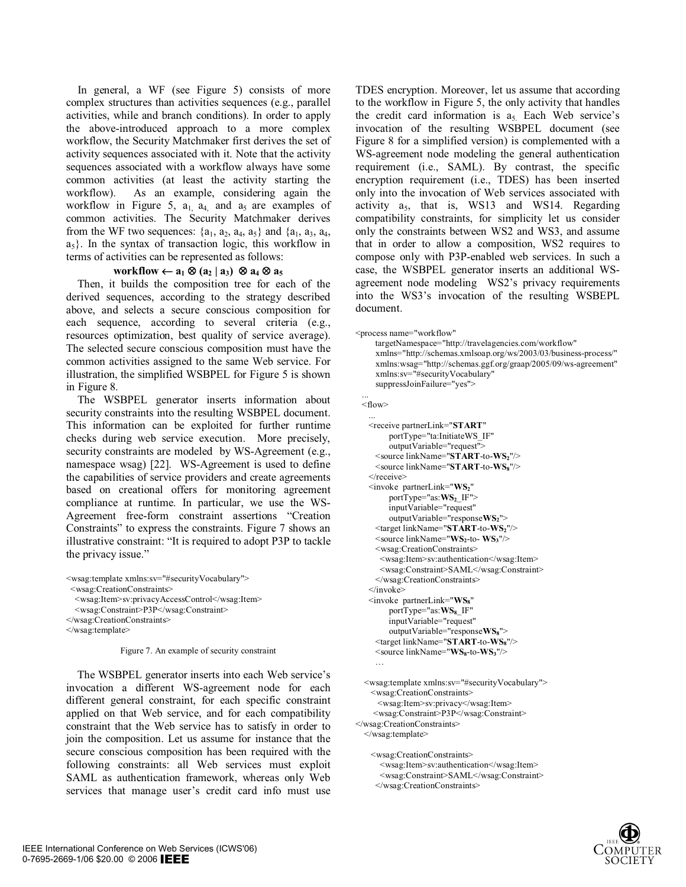In general, a WF (see Figure 5) consists of more complex structures than activities sequences (e.g., parallel activities, while and branch conditions). In order to apply the above-introduced approach to a more complex workflow, the Security Matchmaker first derives the set of activity sequences associated with it. Note that the activity sequences associated with a workflow always have some common activities (at least the activity starting the workflow). As an example, considering again the workflow in Figure 5,  $a_1$ ,  $a_4$ , and  $a_5$  are examples of common activities. The Security Matchmaker derives from the WF two sequences:  $\{a_1, a_2, a_4, a_5\}$  and  $\{a_1, a_3, a_4, a_6\}$  $a_5$ . In the syntax of transaction logic, this workflow in terms of activities can be represented as follows:

### **workflow** ←  $a_1 \otimes (a_2 \mid a_3) \otimes a_4 \otimes a_5$

 Then, it builds the composition tree for each of the derived sequences, according to the strategy described above, and selects a secure conscious composition for each sequence, according to several criteria (e.g., resources optimization, best quality of service average). The selected secure conscious composition must have the common activities assigned to the same Web service. For illustration, the simplified WSBPEL for Figure 5 is shown in Figure 8.

 The WSBPEL generator inserts information about security constraints into the resulting WSBPEL document. This information can be exploited for further runtime checks during web service execution. More precisely, security constraints are modeled by WS-Agreement (e.g., namespace wsag) [22]. WS-Agreement is used to define the capabilities of service providers and create agreements based on creational offers for monitoring agreement compliance at runtime. In particular, we use the WS-Agreement free-form constraint assertions "Creation Constraints" to express the constraints. Figure 7 shows an illustrative constraint: "It is required to adopt P3P to tackle the privacy issue."

```
<wsag:template xmlns:sv="#securityVocabulary"> 
 <wsag:CreationConstraints> 
   <wsag:Item>sv:privacyAccessControl</wsag:Item> 
   <wsag:Constraint>P3P</wsag:Constraint> 
</wsag:CreationConstraints> 
</wsag:template>
```
#### Figure 7. An example of security constraint

 The WSBPEL generator inserts into each Web service's invocation a different WS-agreement node for each different general constraint, for each specific constraint applied on that Web service, and for each compatibility constraint that the Web service has to satisfy in order to join the composition. Let us assume for instance that the secure conscious composition has been required with the following constraints: all Web services must exploit SAML as authentication framework, whereas only Web services that manage user's credit card info must use

TDES encryption. Moreover, let us assume that according to the workflow in Figure 5, the only activity that handles the credit card information is  $a_5$  Each Web service's invocation of the resulting WSBPEL document (see Figure 8 for a simplified version) is complemented with a WS-agreement node modeling the general authentication requirement (i.e., SAML). By contrast, the specific encryption requirement (i.e., TDES) has been inserted only into the invocation of Web services associated with activity  $a_5$ , that is, WS13 and WS14. Regarding compatibility constraints, for simplicity let us consider only the constraints between WS2 and WS3, and assume that in order to allow a composition, WS2 requires to compose only with P3P-enabled web services. In such a case, the WSBPEL generator inserts an additional WSagreement node modeling WS2's privacy requirements into the WS3's invocation of the resulting WSBEPL document.

<process name="workflow"

 targetNamespace="http://travelagencies.com/workflow" xmlns="http://schemas.xmlsoap.org/ws/2003/03/business-process/" xmlns:wsag="http://schemas.ggf.org/graap/2005/09/ws-agreement" xmlns:sv="#securityVocabulary" suppressJoinFailure="yes">

 ...  $<$ flow $>$ 

```
 ... 
    <receive partnerLink="START"
         portType="ta:InitiateWS_IF" 
         outputVariable="request"> 
      <source linkName="START-to-WS2"/> 
      <source linkName="START-to-WS8"/> 
   </receive>
    <invoke partnerLink="WS2"
        portType="as:WS<sub>2</sub>_IF">
         inputVariable="request" 
        outputVariable="responseWS<sub>2</sub>">
      <target linkName="START-to-WS2"/> 
      <source linkName="WS2-to- WS3"/> 
      <wsag:CreationConstraints> 
       <wsag:Item>sv:authentication</wsag:Item> 
       <wsag:Constraint>SAML</wsag:Constraint> 
      </wsag:CreationConstraints> 
   \langleinvoke>
    <invoke partnerLink="WS8"
        portType="as:WS<sub>8</sub>_IF"
         inputVariable="request" 
         outputVariable="responseWS8"> 
      <target linkName="START-to-WS8"/> 
      <source linkName="WS8-to-WS3"/> 
      … 
   <wsag:template xmlns:sv="#securityVocabulary"> 
    <wsag:CreationConstraints> 
      <wsag:Item>sv:privacy</wsag:Item> 
     <wsag:Constraint>P3P</wsag:Constraint>
```
</wsag:CreationConstraints> </wsag:template>

> <wsag:CreationConstraints> <wsag:Item>sv:authentication</wsag:Item> <wsag:Constraint>SAML</wsag:Constraint> </wsag:CreationConstraints>

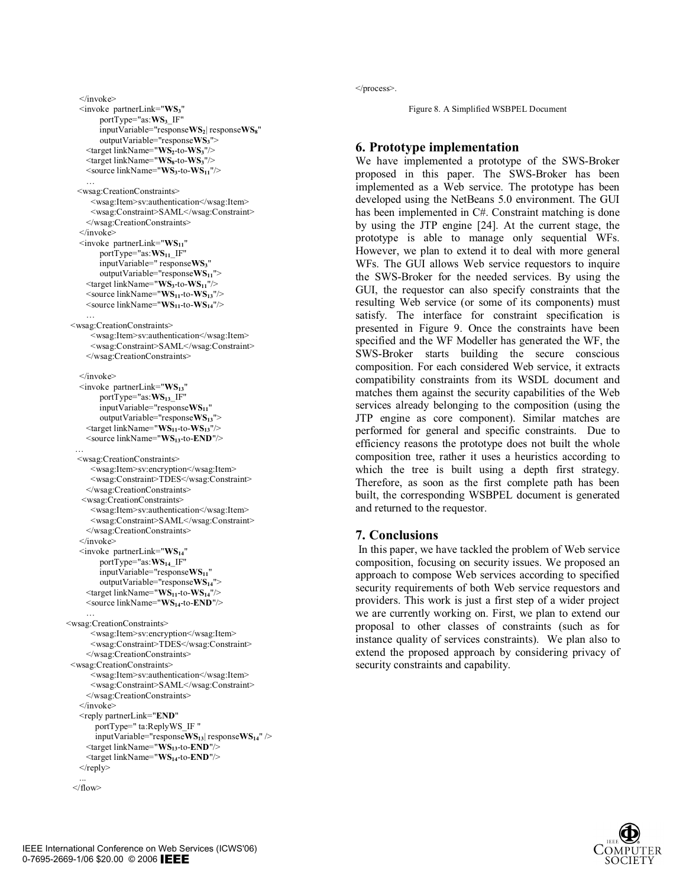</invoke> <invoke partnerLink="**WS3**" portType="as:WS<sub>3</sub> IF" inputVariable="response**WS2**| response**WS8**" outputVariable="responseWS<sub>3</sub>"> <target linkName="**WS2**-to-**WS3**"/> <target linkName="**WS8**-to-**WS3**"/> <source linkName="**WS3**-to-**WS11**"/> … <wsag:CreationConstraints> <wsag:Item>sv:authentication</wsag:Item> <wsag:Constraint>SAML</wsag:Constraint> </wsag:CreationConstraints> </invoke> <invoke partnerLink="**WS11**" portType="as:WS<sub>11</sub>\_IF" inputVariable=" responseWS<sub>3</sub>" outputVariable="response**WS11**"> <target linkName="**WS3**-to-**WS11**"/>  $\leq$ source linkName=" $\text{WS}_{11}$ -to- $\text{WS}_{13}$ "/> <source linkName="**WS11**-to-**WS14**"/> … <wsag:CreationConstraints> <wsag:Item>sv:authentication</wsag:Item> <wsag:Constraint>SAML</wsag:Constraint> </wsag:CreationConstraints>  $\langle$ invoke $\rangle$  <invoke partnerLink="**WS13**" portType="as:**WS**<sub>13</sub> IF" inputVariable="response $\text{WS}_{11}$ " outputVariable="response**WS13**"> <target linkName="**WS11**-to-**WS13**"/> <source linkName="**WS13**-to-**END**"/> … <wsag:CreationConstraints> <wsag:Item>sv:encryption</wsag:Item> <wsag:Constraint>TDES</wsag:Constraint> </wsag:CreationConstraints> <wsag:CreationConstraints> <wsag:Item>sv:authentication</wsag:Item> <wsag:Constraint>SAML</wsag:Constraint> </wsag:CreationConstraints>

```
 </invoke> 
 <invoke partnerLink="WS14"
     portType="as:WS<sub>14</sub> IF"
     inputVariable="response\text{WS}_{11}"
      outputVariable="responseWS14"> 
  <target linkName="WS11-to-WS14"/> 
  <source linkName="WS14-to-END"/>
```

```
 … 
<wsag:CreationConstraints> 
       <wsag:Item>sv:encryption</wsag:Item> 
       <wsag:Constraint>TDES</wsag:Constraint> 
      </wsag:CreationConstraints> 
  <wsag:CreationConstraints> 
       <wsag:Item>sv:authentication</wsag:Item> 
       <wsag:Constraint>SAML</wsag:Constraint> 
      </wsag:CreationConstraints> 
    </invoke> 
    <reply partnerLink="END"
        portType=" ta:ReplyWS_IF " 
        inputVariable="responseWS13| responseWS14" /> 
      <target linkName="WS13-to-END"/> 
      <target linkName="WS14-to-END"/> 
   \langlereply\rangle
```
 ...  $\langle$ flow $>$  </process>.

Figure 8. A Simplified WSBPEL Document

## **6. Prototype implementation**

We have implemented a prototype of the SWS-Broker proposed in this paper. The SWS-Broker has been implemented as a Web service. The prototype has been developed using the NetBeans 5.0 environment. The GUI has been implemented in C#. Constraint matching is done by using the JTP engine [24]. At the current stage, the prototype is able to manage only sequential WFs. However, we plan to extend it to deal with more general WFs. The GUI allows Web service requestors to inquire the SWS-Broker for the needed services. By using the GUI, the requestor can also specify constraints that the resulting Web service (or some of its components) must satisfy. The interface for constraint specification is presented in Figure 9. Once the constraints have been specified and the WF Modeller has generated the WF, the SWS-Broker starts building the secure conscious composition. For each considered Web service, it extracts compatibility constraints from its WSDL document and matches them against the security capabilities of the Web services already belonging to the composition (using the JTP engine as core component). Similar matches are performed for general and specific constraints. Due to efficiency reasons the prototype does not built the whole composition tree, rather it uses a heuristics according to which the tree is built using a depth first strategy. Therefore, as soon as the first complete path has been built, the corresponding WSBPEL document is generated and returned to the requestor.

### **7. Conclusions**

 In this paper, we have tackled the problem of Web service composition, focusing on security issues. We proposed an approach to compose Web services according to specified security requirements of both Web service requestors and providers. This work is just a first step of a wider project we are currently working on. First, we plan to extend our proposal to other classes of constraints (such as for instance quality of services constraints). We plan also to extend the proposed approach by considering privacy of security constraints and capability.